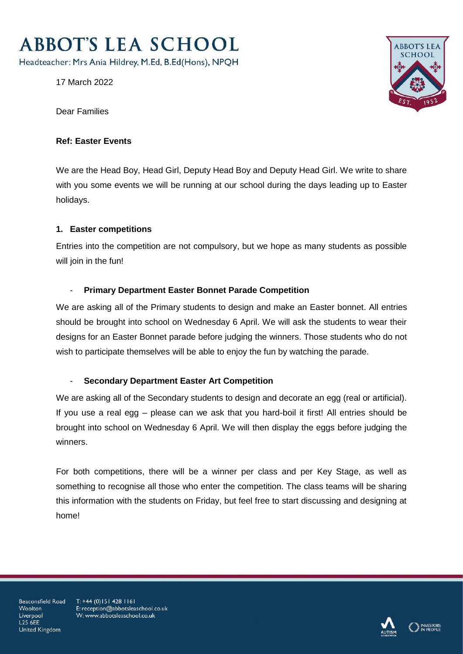# **ABBOT'S LEA SCHOOL**

Headteacher: Mrs Ania Hildrey, M.Ed, B.Ed(Hons), NPQH

17 March 2022

**ABBOT'S LEA SCHOOL** 

Dear Families

#### **Ref: Easter Events**

We are the Head Boy, Head Girl, Deputy Head Boy and Deputy Head Girl. We write to share with you some events we will be running at our school during the days leading up to Easter holidays.

### **1. Easter competitions**

Entries into the competition are not compulsory, but we hope as many students as possible will join in the fun!

### - **Primary Department Easter Bonnet Parade Competition**

We are asking all of the Primary students to design and make an Easter bonnet. All entries should be brought into school on Wednesday 6 April. We will ask the students to wear their designs for an Easter Bonnet parade before judging the winners. Those students who do not wish to participate themselves will be able to enjoy the fun by watching the parade.

### - **Secondary Department Easter Art Competition**

We are asking all of the Secondary students to design and decorate an egg (real or artificial). If you use a real egg – please can we ask that you hard-boil it first! All entries should be brought into school on Wednesday 6 April. We will then display the eggs before judging the winners.

For both competitions, there will be a winner per class and per Key Stage, as well as something to recognise all those who enter the competition. The class teams will be sharing this information with the students on Friday, but feel free to start discussing and designing at home!

Beaconsfield Road Woolton Liverpool **L25 6FF** United Kingdom

T: +44 (0) 151 428 1161 E: reception@abbotsleaschool.co.uk W: www.abbotsleaschool.co.uk